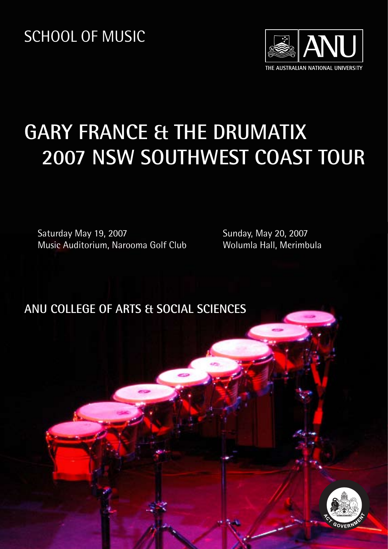SCHOOL OF MUSIC



# **GARY FRANCE & THE DRUMATIX 2007 NSW SOUTHWEST COAST TOUR**

Saturday May 19, 2007 Music Auditorium, Narooma Golf Club Sunday, May 20, 2007 Wolumla Hall, Merimbula

**ANU COLLEGE OF ARTS & SOCIAL SCIENCES** 

**ANU COLLEGE OF ARTS & SOCIAL SCIENCES**

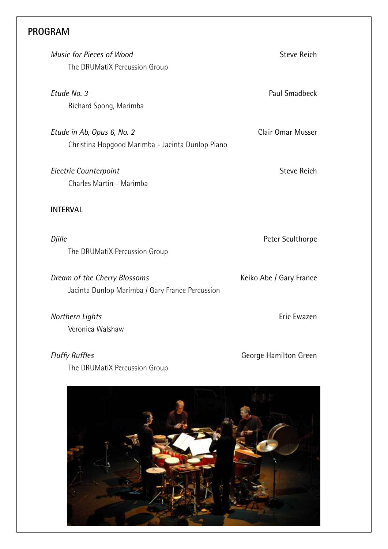## **PROGRAM**

| Music for Pieces of Wood<br>The DRUMatiX Percussion Group                       | <b>Steve Reich</b>      |
|---------------------------------------------------------------------------------|-------------------------|
| Etude No. 3<br>Richard Spong, Marimba                                           | Paul Smadbeck           |
| Etude in Ab, Opus 6, No. 2<br>Christina Hopgood Marimba - Jacinta Dunlop Piano  | Clair Omar Musser       |
| <b>Electric Counterpoint</b><br>Charles Martin - Marimba                        | <b>Steve Reich</b>      |
| <b>INTERVAL</b>                                                                 |                         |
| Djille<br>The DRUMatiX Percussion Group                                         | Peter Sculthorpe        |
| Dream of the Cherry Blossoms<br>Jacinta Dunlop Marimba / Gary France Percussion | Keiko Abe / Gary France |
| Northern Lights<br>Veronica Walshaw                                             | Eric Ewazen             |
| <b>Fluffy Ruffles</b><br>The DRUMatiX Percussion Group                          | George Hamilton Green   |

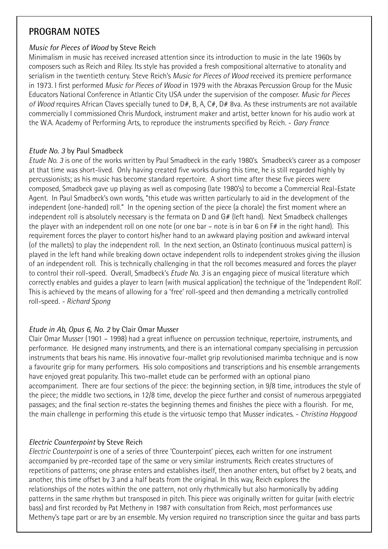## **PROGRAM NOTES**

#### *Music for Pieces of Wood* by Steve Reich

Minimalism in music has received increased attention since its introduction to music in the late 1960s by composers such as Reich and Riley. Its style has provided a fresh compositional alternative to atonality and serialism in the twentieth century. Steve Reich's *Music for Pieces of Wood* received its premiere performance in 1973. I first performed *Music for Pieces of Wood* in 1979 with the Abraxas Percussion Group for the Music Educators National Conference in Atlantic City USA under the supervision of the composer. *Music for Pieces of Wood* requires African Claves specially tuned to D#, B, A, C#, D# 8va. As these instruments are not available commercially I commissioned Chris Murdock, instrument maker and artist, better known for his audio work at the W.A. Academy of Performing Arts, to reproduce the instruments specified by Reich. - *Gary France*

#### *Etude No. 3* by Paul Smadbeck

*Etude No. 3* is one of the works written by Paul Smadbeck in the early 1980's. Smadbeck's career as a composer at that time was short-lived. Only having created five works during this time, he is still regarded highly by percussionists; as his music has become standard repertoire. A short time after these five pieces were composed, Smadbeck gave up playing as well as composing (late 1980's) to become a Commercial Real-Estate Agent. In Paul Smadbeck's own words, "this etude was written particularly to aid in the development of the independent (one-handed) roll." In the opening section of the piece (a chorale) the first moment where an independent roll is absolutely necessary is the fermata on D and G# (left hand). Next Smadbeck challenges the player with an independent roll on one note (or one bar – note is in bar 6 on F# in the right hand). This requirement forces the player to contort his/her hand to an awkward playing position and awkward interval (of the mallets) to play the independent roll. In the next section, an Ostinato (continuous musical pattern) is played in the left hand while breaking down octave independent rolls to independent strokes giving the illusion of an independent roll. This is technically challenging in that the roll becomes measured and forces the player to control their roll-speed. Overall, Smadbeck's *Etude No. 3* is an engaging piece of musical literature which correctly enables and guides a player to learn (with musical application) the technique of the 'Independent Roll'. This is achieved by the means of allowing for a 'free' roll-speed and then demanding a metrically controlled roll-speed. *- Richard Spong*

### *Etude in Ab, Opus 6, No. 2* by Clair Omar Musser

Clair Omar Musser (1901 – 1998) had a great influence on percussion technique, repertoire, instruments, and performance. He designed many instruments, and there is an international company specialising in percussion instruments that bears his name. His innovative four-mallet grip revolutionised marimba technique and is now a favourite grip for many performers. His solo compositions and transcriptions and his ensemble arrangements have enjoyed great popularity. This two-mallet etude can be performed with an optional piano accompaniment. There are four sections of the piece: the beginning section, in 9/8 time, introduces the style of the piece; the middle two sections, in 12/8 time, develop the piece further and consist of numerous arpeggiated passages; and the final section re-states the beginning themes and finishes the piece with a flourish. For me, the main challenge in performing this etude is the virtuosic tempo that Musser indicates. - *Christina Hopgood*

### *Electric Counterpoint* by Steve Reich

*Electric Counterpoint* is one of a series of three 'Counterpoint' pieces, each written for one instrument accompanied by pre-recorded tape of the same or very similar instruments. Reich creates structures of repetitions of patterns; one phrase enters and establishes itself, then another enters, but offset by 2 beats, and another, this time offset by 3 and a half beats from the original. In this way, Reich explores the relationships of the notes within the one pattern, not only rhythmically but also harmonically by adding patterns in the same rhythm but transposed in pitch. This piece was originally written for guitar (with electric bass) and first recorded by Pat Metheny in 1987 with consultation from Reich, most performances use Metheny's tape part or are by an ensemble. My version required no transcription since the guitar and bass parts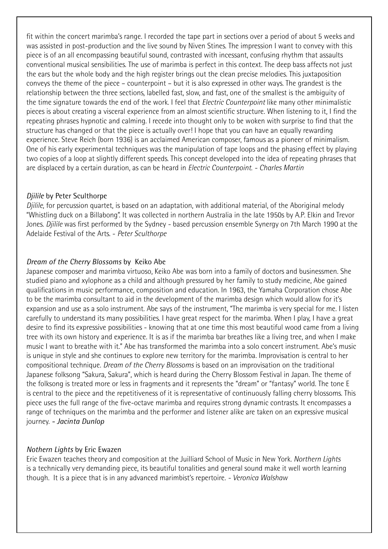fit within the concert marimba's range. I recorded the tape part in sections over a period of about 5 weeks and was assisted in post-production and the live sound by Niven Stines. The impression I want to convey with this piece is of an all encompassing beautiful sound, contrasted with incessant, confusing rhythm that assaults conventional musical sensibilities. The use of marimba is perfect in this context. The deep bass affects not just the ears but the whole body and the high register brings out the clean precise melodies. This juxtaposition conveys the theme of the piece – counterpoint – but it is also expressed in other ways. The grandest is the relationship between the three sections, labelled fast, slow, and fast, one of the smallest is the ambiguity of the time signature towards the end of the work. I feel that *Electric Counterpoint* like many other minimalistic pieces is about creating a visceral experience from an almost scientific structure. When listening to it, I find the repeating phrases hypnotic and calming. I recede into thought only to be woken with surprise to find that the structure has changed or that the piece is actually over! I hope that you can have an equally rewarding experience. Steve Reich (born 1936) is an acclaimed American composer, famous as a pioneer of minimalism. One of his early experimental techniques was the manipulation of tape loops and the phasing effect by playing two copies of a loop at slightly different speeds. This concept developed into the idea of repeating phrases that are displaced by a certain duration, as can be heard in *Electric Counterpoint*. *- Charles Martin*

#### *Djilile* by Peter Sculthorpe

*Djilile*, for percussion quartet, is based on an adaptation, with additional material, of the Aboriginal melody "Whistling duck on a Billabong". It was collected in northern Australia in the late 1950s by A.P. Elkin and Trevor Jones. *Djilile* was first performed by the Sydney - based percussion ensemble Synergy on 7th March 1990 at the Adelaide Festival of the Arts. - *Peter Sculthorpe*

#### *Dream of the Cherry Blossoms* by Keiko Abe

Japanese composer and marimba virtuoso, Keiko Abe was born into a family of doctors and businessmen. She studied piano and xylophone as a child and although pressured by her family to study medicine, Abe gained qualifications in music performance, composition and education. In 1963, the Yamaha Corporation chose Abe to be the marimba consultant to aid in the development of the marimba design which would allow for it's expansion and use as a solo instrument. Abe says of the instrument, "The marimba is very special for me. I listen carefully to understand its many possibilities. I have great respect for the marimba. When I play, I have a great desire to find its expressive possibilities - knowing that at one time this most beautiful wood came from a living tree with its own history and experience. It is as if the marimba bar breathes like a living tree, and when I make music I want to breathe with it." Abe has transformed the marimba into a solo concert instrument. Abe's music is unique in style and she continues to explore new territory for the marimba. Improvisation is central to her compositional technique. *Dream of the Cherry Blossoms* is based on an improvisation on the traditional Japanese folksong "Sakura, Sakura", which is heard during the Cherry Blossom Festival in Japan. The theme of the folksong is treated more or less in fragments and it represents the "dream" or "fantasy" world. The tone E is central to the piece and the repetitiveness of it is representative of continuously falling cherry blossoms. This piece uses the full range of the five-octave marimba and requires strong dynamic contrasts. It encompasses a range of techniques on the marimba and the performer and listener alike are taken on an expressive musical journey. *- Jacinta Dunlop*

#### *Nothern Lights* by Eric Ewazen

Eric Ewazen teaches theory and composition at the Juilliard School of Music in New York. *Northern Lights*  is a technically very demanding piece, its beautiful tonalities and general sound make it well worth learning though. It is a piece that is in any advanced marimbist's repertoire. *- Veronica Walshaw*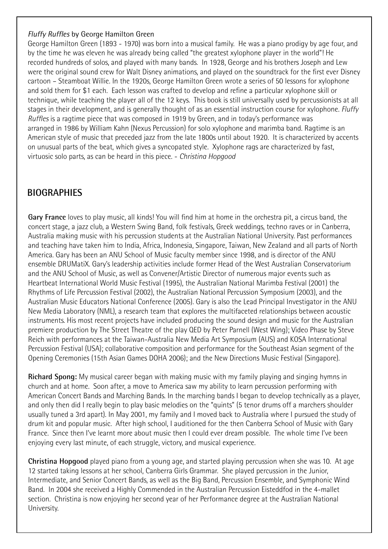#### *Fluffy Ruffles* by George Hamilton Green

George Hamilton Green (1893 - 1970) was born into a musical family. He was a piano prodigy by age four, and by the time he was eleven he was already being called "the greatest xylophone player in the world"! He recorded hundreds of solos, and played with many bands. In 1928, George and his brothers Joseph and Lew were the original sound crew for Walt Disney animations, and played on the soundtrack for the first ever Disney cartoon – Steamboat Willie. In the 1920s, George Hamilton Green wrote a series of 50 lessons for xylophone and sold them for \$1 each. Each lesson was crafted to develop and refine a particular xylophone skill or technique, while teaching the player all of the 12 keys. This book is still universally used by percussionists at all stages in their development, and is generally thought of as an essential instruction course for xylophone. *Fluffy Ruffles* is a ragtime piece that was composed in 1919 by Green, and in today's performance was arranged in 1986 by William Kahn (Nexus Percussion) for solo xylophone and marimba band. Ragtime is an American style of music that preceded jazz from the late 1800s until about 1920. It is characterized by accents on unusual parts of the beat, which gives a syncopated style. Xylophone rags are characterized by fast, virtuosic solo parts, as can be heard in this piece. - *Christina Hopgood*

## **BIOGRAPHIES**

**Gary France** loves to play music, all kinds! You will find him at home in the orchestra pit, a circus band, the concert stage, a jazz club, a Western Swing Band, folk festivals, Greek weddings, techno raves or in Canberra, Australia making music with his percussion students at the Australian National University. Past performances and teaching have taken him to India, Africa, Indonesia, Singapore, Taiwan, New Zealand and all parts of North America. Gary has been an ANU School of Music faculty member since 1998, and is director of the ANU ensemble DRUMatiX. Gary's leadership activities include former Head of the West Australian Conservatorium and the ANU School of Music, as well as Convener/Artistic Director of numerous major events such as Heartbeat International World Music Festival (1995), the Australian National Marimba Festival (2001) the Rhythms of Life Percussion Festival (2002), the Australian National Percussion Symposium (2003), and the Australian Music Educators National Conference (2005). Gary is also the Lead Principal Investigator in the ANU New Media Laboratory (NML), a research team that explores the multifaceted relationships between acoustic instruments. His most recent projects have included producing the sound design and music for the Australian premiere production by The Street Theatre of the play QED by Peter Parnell (West Wing); Video Phase by Steve Reich with performances at the Taiwan-Australia New Media Art Symposium (AUS) and KOSA International Percussion Festival (USA); collaborative composition and performance for the Southeast Asian segment of the Opening Ceremonies (15th Asian Games DOHA 2006); and the New Directions Music Festival (Singapore).

**Richard Spong:** My musical career began with making music with my family playing and singing hymns in church and at home. Soon after, a move to America saw my ability to learn percussion performing with American Concert Bands and Marching Bands. In the marching bands I began to develop technically as a player, and only then did I really begin to play basic melodies on the "quints" (5 tenor drums off a marchers shoulder usually tuned a 3rd apart). In May 2001, my family and I moved back to Australia where I pursued the study of drum kit and popular music. After high school, I auditioned for the then Canberra School of Music with Gary France. Since then I've learnt more about music then I could ever dream possible. The whole time I've been enjoying every last minute, of each struggle, victory, and musical experience.

**Christina Hopgood** played piano from a young age, and started playing percussion when she was 10. At age 12 started taking lessons at her school, Canberra Girls Grammar. She played percussion in the Junior, Intermediate, and Senior Concert Bands, as well as the Big Band, Percussion Ensemble, and Symphonic Wind Band. In 2004 she received a Highly Commended in the Australian Percussion Eisteddfod in the 4-mallet section. Christina is now enjoying her second year of her Performance degree at the Australian National University.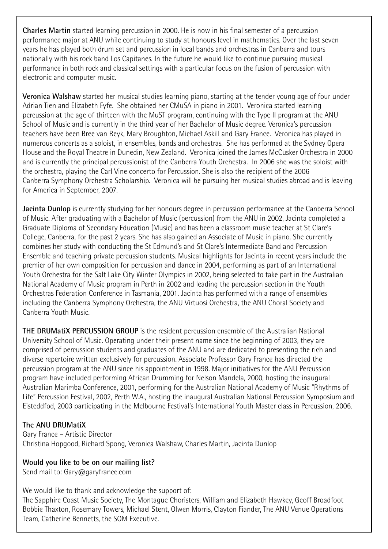**Charles Martin** started learning percussion in 2000. He is now in his final semester of a percussion performance major at ANU while continuing to study at honours level in mathematics. Over the last seven years he has played both drum set and percussion in local bands and orchestras in Canberra and tours nationally with his rock band Los Capitanes. In the future he would like to continue pursuing musical performance in both rock and classical settings with a particular focus on the fusion of percussion with electronic and computer music.

**Veronica Walshaw** started her musical studies learning piano, starting at the tender young age of four under Adrian Tien and Elizabeth Fyfe. She obtained her CMuSA in piano in 2001. Veronica started learning percussion at the age of thirteen with the MuST program, continuing with the Type II program at the ANU School of Music and is currently in the third year of her Bachelor of Music degree. Veronica's percussion teachers have been Bree van Reyk, Mary Broughton, Michael Askill and Gary France. Veronica has played in numerous concerts as a soloist, in ensembles, bands and orchestras. She has performed at the Sydney Opera House and the Royal Theatre in Dunedin, New Zealand. Veronica joined the James McCusker Orchestra in 2000 and is currently the principal percussionist of the Canberra Youth Orchestra. In 2006 she was the soloist with the orchestra, playing the Carl Vine concerto for Percussion. She is also the recipient of the 2006 Canberra Symphony Orchestra Scholarship. Veronica will be pursuing her musical studies abroad and is leaving for America in September, 2007.

**Jacinta Dunlop** is currently studying for her honours degree in percussion performance at the Canberra School of Music. After graduating with a Bachelor of Music (percussion) from the ANU in 2002, Jacinta completed a Graduate Diploma of Secondary Education (Music) and has been a classroom music teacher at St Clare's College, Canberra, for the past 2 years. She has also gained an Associate of Music in piano. She currently combines her study with conducting the St Edmund's and St Clare's Intermediate Band and Percussion Ensemble and teaching private percussion students. Musical highlights for Jacinta in recent years include the premier of her own composition for percussion and dance in 2004, performing as part of an International Youth Orchestra for the Salt Lake City Winter Olympics in 2002, being selected to take part in the Australian National Academy of Music program in Perth in 2002 and leading the percussion section in the Youth Orchestras Federation Conference in Tasmania, 2001. Jacinta has performed with a range of ensembles including the Canberra Symphony Orchestra, the ANU Virtuosi Orchestra, the ANU Choral Society and Canberra Youth Music.

**THE DRUMatiX PERCUSSION GROUP** is the resident percussion ensemble of the Australian National University School of Music. Operating under their present name since the beginning of 2003, they are comprised of percussion students and graduates of the ANU and are dedicated to presenting the rich and diverse repertoire written exclusively for percussion. Associate Professor Gary France has directed the percussion program at the ANU since his appointment in 1998. Major initiatives for the ANU Percussion program have included performing African Drumming for Nelson Mandela, 2000, hosting the inaugural Australian Marimba Conference, 2001, performing for the Australian National Academy of Music "Rhythms of Life" Percussion Festival, 2002, Perth W.A., hosting the inaugural Australian National Percussion Symposium and Eisteddfod, 2003 participating in the Melbourne Festival's International Youth Master class in Percussion, 2006.

### **The ANU DRUMatiX**

Gary France – Artistic Director Christina Hopgood, Richard Spong, Veronica Walshaw, Charles Martin, Jacinta Dunlop

#### **Would you like to be on our mailing list?**

Send mail to: Gary@garyfrance.com

We would like to thank and acknowledge the support of:

The Sapphire Coast Music Society, The Montague Choristers, William and Elizabeth Hawkey, Geoff Broadfoot Bobbie Thaxton, Rosemary Towers, Michael Stent, Olwen Morris, Clayton Fiander, The ANU Venue Operations Team, Catherine Bennetts, the SOM Executive.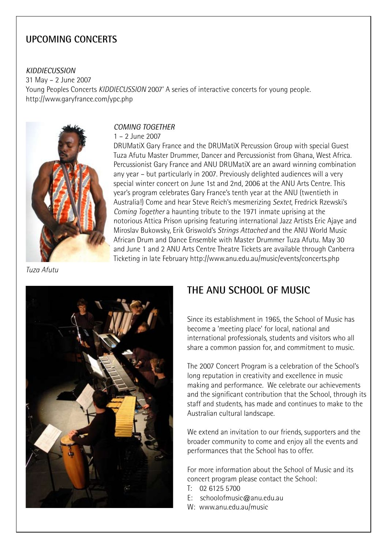## **UPCOMING CONCERTS**

#### *KIDDIECUSSION*

31 May – 2 June 2007 Young Peoples Concerts *KIDDIECUSSION* 2007' A series of interactive concerts for young people. http://www.garyfrance.com/ypc.php



#### *COMING TOGETHER*

#### 1 – 2 June 2007

DRUMatiX Gary France and the DRUMatiX Percussion Group with special Guest Tuza Afutu Master Drummer, Dancer and Percussionist from Ghana, West Africa. Percussionist Gary France and ANU DRUMatiX are an award winning combination any year – but particularly in 2007. Previously delighted audiences will a very special winter concert on June 1st and 2nd, 2006 at the ANU Arts Centre. This year's program celebrates Gary France's tenth year at the ANU (twentieth in Australia!) Come and hear Steve Reich's mesmerizing *Sextet*, Fredrick Rzewski's *Coming Together* a haunting tribute to the 1971 inmate uprising at the notorious Attica Prison uprising featuring international Jazz Artists Eric Ajaye and Miroslav Bukowsky, Erik Griswold's *Strings Attached* and the ANU World Music African Drum and Dance Ensemble with Master Drummer Tuza Afutu. May 30 and June 1 and 2 ANU Arts Centre Theatre Tickets are available through Canberra Ticketing in late February http://www.anu.edu.au/music/events/concerts.php

*Tuza Afutu*



## **THE ANU SCHOOL OF MUSIC**

Since its establishment in 1965, the School of Music has become a 'meeting place' for local, national and international professionals, students and visitors who all share a common passion for, and commitment to music.

The 2007 Concert Program is a celebration of the School's long reputation in creativity and excellence in music making and performance. We celebrate our achievements and the significant contribution that the School, through its staff and students, has made and continues to make to the Australian cultural landscape.

We extend an invitation to our friends, supporters and the broader community to come and enjoy all the events and performances that the School has to offer.

For more information about the School of Music and its concert program please contact the School:

- T: 02 6125 5700
- E: schoolofmusic@anu.edu.au
- W: www.anu.edu.au/music